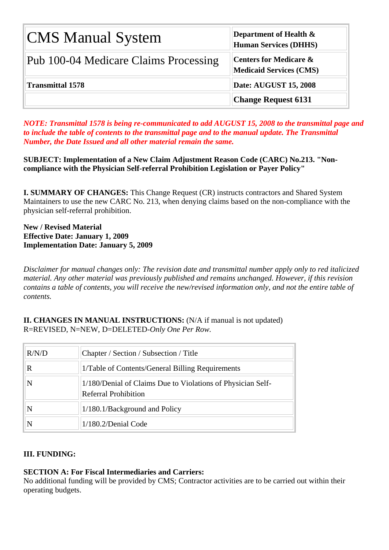| <b>CMS Manual System</b>              | Department of Health $\&$<br><b>Human Services (DHHS)</b>           |
|---------------------------------------|---------------------------------------------------------------------|
| Pub 100-04 Medicare Claims Processing | <b>Centers for Medicare &amp;</b><br><b>Medicaid Services (CMS)</b> |
| <b>Transmittal 1578</b>               | <b>Date: AUGUST 15, 2008</b>                                        |
|                                       | <b>Change Request 6131</b>                                          |

*NOTE: Transmittal 1578 is being re-communicated to add AUGUST 15, 2008 to the transmittal page and to include the table of contents to the transmittal page and to the manual update. The Transmittal Number, the Date Issued and all other material remain the same.* 

**SUBJECT: Implementation of a New Claim Adjustment Reason Code (CARC) No.213. "Noncompliance with the Physician Self-referral Prohibition Legislation or Payer Policy"**

**I. SUMMARY OF CHANGES:** This Change Request (CR) instructs contractors and Shared System Maintainers to use the new CARC No. 213, when denying claims based on the non-compliance with the physician self-referral prohibition.

**New / Revised Material Effective Date: January 1, 2009 Implementation Date: January 5, 2009** 

*Disclaimer for manual changes only: The revision date and transmittal number apply only to red italicized material. Any other material was previously published and remains unchanged. However, if this revision contains a table of contents, you will receive the new/revised information only, and not the entire table of contents.*

**II. CHANGES IN MANUAL INSTRUCTIONS:** (N/A if manual is not updated) R=REVISED, N=NEW, D=DELETED-*Only One Per Row.* 

| R/N/D | Chapter / Section / Subsection / Title                                              |
|-------|-------------------------------------------------------------------------------------|
| R     | 1/Table of Contents/General Billing Requirements                                    |
|       | 1/180/Denial of Claims Due to Violations of Physician Self-<br>Referral Prohibition |
|       | 1/180.1/Background and Policy                                                       |
|       | $1/180.2/D$ enial Code                                                              |

## **III. FUNDING:**

## **SECTION A: For Fiscal Intermediaries and Carriers:**

No additional funding will be provided by CMS; Contractor activities are to be carried out within their operating budgets.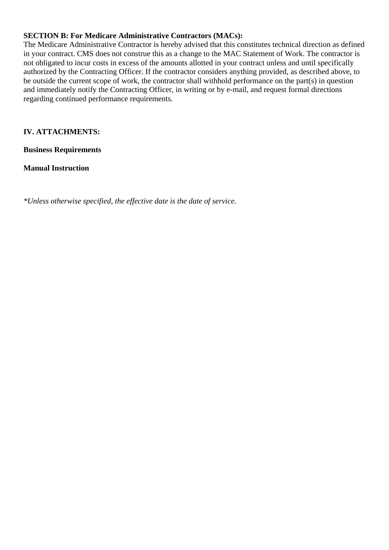## **SECTION B: For Medicare Administrative Contractors (MACs):**

The Medicare Administrative Contractor is hereby advised that this constitutes technical direction as defined in your contract. CMS does not construe this as a change to the MAC Statement of Work. The contractor is not obligated to incur costs in excess of the amounts allotted in your contract unless and until specifically authorized by the Contracting Officer. If the contractor considers anything provided, as described above, to be outside the current scope of work, the contractor shall withhold performance on the part(s) in question and immediately notify the Contracting Officer, in writing or by e-mail, and request formal directions regarding continued performance requirements.

# **IV. ATTACHMENTS:**

**Business Requirements**

**Manual Instruction**

*\*Unless otherwise specified, the effective date is the date of service.*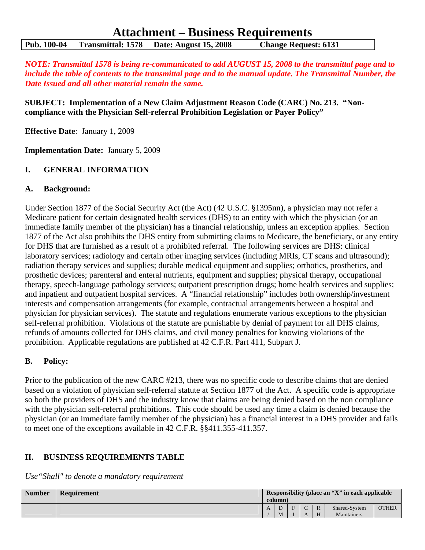# **Attachment – Business Requirements Pub. 100-04 Transmittal: 1578 Date: August 15, 2008 Change Request: 6131**

*NOTE: Transmittal 1578 is being re-communicated to add AUGUST 15, 2008 to the transmittal page and to include the table of contents to the transmittal page and to the manual update. The Transmittal Number, the Date Issued and all other material remain the same.* 

**SUBJECT: Implementation of a New Claim Adjustment Reason Code (CARC) No. 213. "Noncompliance with the Physician Self-referral Prohibition Legislation or Payer Policy"** 

**Effective Date**: January 1, 2009

**Implementation Date:** January 5, 2009

#### **I. GENERAL INFORMATION**

#### **A. Background:**

Under Section 1877 of the Social Security Act (the Act) (42 U.S.C. §1395nn), a physician may not refer a Medicare patient for certain designated health services (DHS) to an entity with which the physician (or an immediate family member of the physician) has a financial relationship, unless an exception applies. Section 1877 of the Act also prohibits the DHS entity from submitting claims to Medicare, the beneficiary, or any entity for DHS that are furnished as a result of a prohibited referral. The following services are DHS: clinical laboratory services; radiology and certain other imaging services (including MRIs, CT scans and ultrasound); radiation therapy services and supplies; durable medical equipment and supplies; orthotics, prosthetics, and prosthetic devices; parenteral and enteral nutrients, equipment and supplies; physical therapy, occupational therapy, speech-language pathology services; outpatient prescription drugs; home health services and supplies; and inpatient and outpatient hospital services. A "financial relationship" includes both ownership/investment interests and compensation arrangements (for example, contractual arrangements between a hospital and physician for physician services). The statute and regulations enumerate various exceptions to the physician self-referral prohibition. Violations of the statute are punishable by denial of payment for all DHS claims, refunds of amounts collected for DHS claims, and civil money penalties for knowing violations of the prohibition. Applicable regulations are published at 42 C.F.R. Part 411, Subpart J.

#### **B. Policy:**

Prior to the publication of the new CARC #213, there was no specific code to describe claims that are denied based on a violation of physician self-referral statute at Section 1877 of the Act. A specific code is appropriate so both the providers of DHS and the industry know that claims are being denied based on the non compliance with the physician self-referral prohibitions. This code should be used any time a claim is denied because the physician (or an immediate family member of the physician) has a financial interest in a DHS provider and fails to meet one of the exceptions available in 42 C.F.R. §§411.355-411.357.

#### **II. BUSINESS REQUIREMENTS TABLE**

*Use"Shall" to denote a mandatory requirement* 

| <b>Number</b> | <b>Requirement</b> | Responsibility (place an "X" in each applicable<br>column) |   |            |              |               |              |  |
|---------------|--------------------|------------------------------------------------------------|---|------------|--------------|---------------|--------------|--|
|               |                    |                                                            | F | $\sqrt{ }$ | $\mathbb{R}$ | Shared-System | <b>OTHER</b> |  |
|               |                    | M                                                          |   |            | H            | Maintainers   |              |  |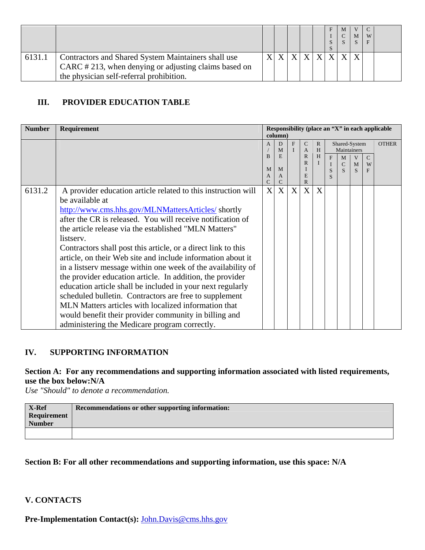|        |                                                                                                                                                         |  |  |  | M | M | W |  |
|--------|---------------------------------------------------------------------------------------------------------------------------------------------------------|--|--|--|---|---|---|--|
| 6131.1 | Contractors and Shared System Maintainers shall use<br>CARC #213, when denying or adjusting claims based on<br>the physician self-referral prohibition. |  |  |  |   |   |   |  |

# **III. PROVIDER EDUCATION TABLE**

| <b>Number</b> | <b>Requirement</b>                                            |                   |                   |   |                                |              |   |                  |               |                    | Responsibility (place an "X" in each applicable |
|---------------|---------------------------------------------------------------|-------------------|-------------------|---|--------------------------------|--------------|---|------------------|---------------|--------------------|-------------------------------------------------|
|               |                                                               |                   | column)           |   |                                |              |   |                  |               |                    |                                                 |
|               |                                                               | $\mathsf{A}$      | D                 | F | $\mathsf{C}$                   | R            |   |                  | Shared-System |                    | <b>OTHER</b>                                    |
|               |                                                               | B                 | M<br>E            |   | $\overline{A}$<br>$\mathbb{R}$ | H<br>H       |   |                  | Maintainers   |                    |                                                 |
|               |                                                               |                   |                   |   | $\mathbb{R}$                   | $\mathbf{I}$ | F | M<br>$\mathbf C$ | V<br>M        | $\mathcal{C}$<br>W |                                                 |
|               |                                                               | M                 | M                 |   |                                |              | S |                  | $\mathbf{S}$  | F                  |                                                 |
|               |                                                               | A                 | A                 |   | E                              |              | S |                  |               |                    |                                                 |
| 6131.2        |                                                               | С<br>$\mathbf{X}$ | $\mathsf{C}$<br>X | X | $\mathbb{R}$<br>X              | X            |   |                  |               |                    |                                                 |
|               | A provider education article related to this instruction will |                   |                   |   |                                |              |   |                  |               |                    |                                                 |
|               | be available at                                               |                   |                   |   |                                |              |   |                  |               |                    |                                                 |
|               | http://www.cms.hhs.gov/MLNMattersArticles/shortly             |                   |                   |   |                                |              |   |                  |               |                    |                                                 |
|               | after the CR is released. You will receive notification of    |                   |                   |   |                                |              |   |                  |               |                    |                                                 |
|               | the article release via the established "MLN Matters"         |                   |                   |   |                                |              |   |                  |               |                    |                                                 |
|               | listserv.                                                     |                   |                   |   |                                |              |   |                  |               |                    |                                                 |
|               | Contractors shall post this article, or a direct link to this |                   |                   |   |                                |              |   |                  |               |                    |                                                 |
|               | article, on their Web site and include information about it   |                   |                   |   |                                |              |   |                  |               |                    |                                                 |
|               | in a listserv message within one week of the availability of  |                   |                   |   |                                |              |   |                  |               |                    |                                                 |
|               | the provider education article. In addition, the provider     |                   |                   |   |                                |              |   |                  |               |                    |                                                 |
|               | education article shall be included in your next regularly    |                   |                   |   |                                |              |   |                  |               |                    |                                                 |
|               | scheduled bulletin. Contractors are free to supplement        |                   |                   |   |                                |              |   |                  |               |                    |                                                 |
|               | MLN Matters articles with localized information that          |                   |                   |   |                                |              |   |                  |               |                    |                                                 |
|               | would benefit their provider community in billing and         |                   |                   |   |                                |              |   |                  |               |                    |                                                 |
|               | administering the Medicare program correctly.                 |                   |                   |   |                                |              |   |                  |               |                    |                                                 |

# **IV. SUPPORTING INFORMATION**

## **Section A: For any recommendations and supporting information associated with listed requirements, use the box below:N/A**

*Use "Should" to denote a recommendation.* 

# **Section B: For all other recommendations and supporting information, use this space: N/A**

### **V. CONTACTS**

**Pre-Implementation Contact(s):** [John.Davis@cms.hhs.gov](mailto:John.Davis@cms.hhs.gov)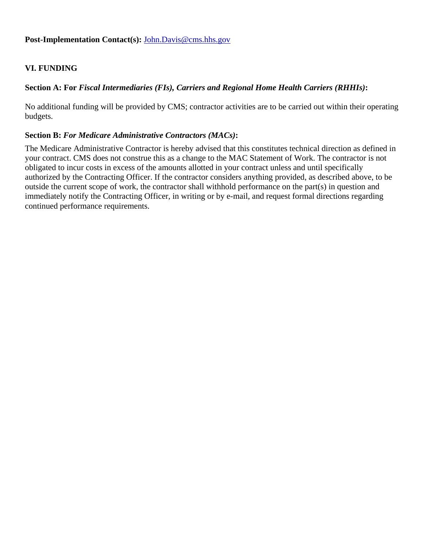## **VI. FUNDING**

## **Section A: For** *Fiscal Intermediaries (FIs), Carriers and Regional Home Health Carriers (RHHIs)***:**

No additional funding will be provided by CMS; contractor activities are to be carried out within their operating budgets.

### **Section B:** *For Medicare Administrative Contractors (MACs)***:**

The Medicare Administrative Contractor is hereby advised that this constitutes technical direction as defined in your contract. CMS does not construe this as a change to the MAC Statement of Work. The contractor is not obligated to incur costs in excess of the amounts allotted in your contract unless and until specifically authorized by the Contracting Officer. If the contractor considers anything provided, as described above, to be outside the current scope of work, the contractor shall withhold performance on the part(s) in question and immediately notify the Contracting Officer, in writing or by e-mail, and request formal directions regarding continued performance requirements.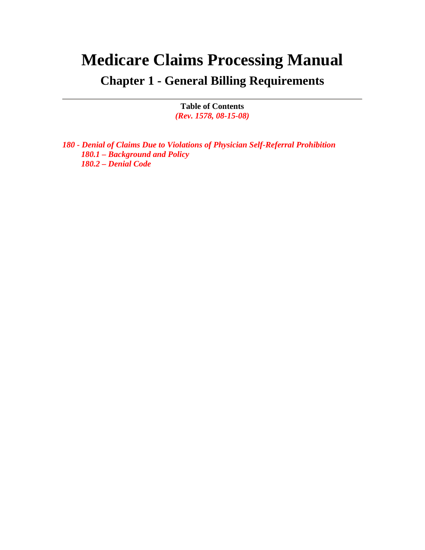# **Medicare Claims Processing Manual**

**Chapter 1 - General Billing Requirements** 

**Table of Contents**  *(Rev. 1578, 08-15-08)* 

*180 - Denial of Claims Due to Violations of Physician Self-Referral Prohibition 180.1 – Background and Policy 180.2 – Denial Code*